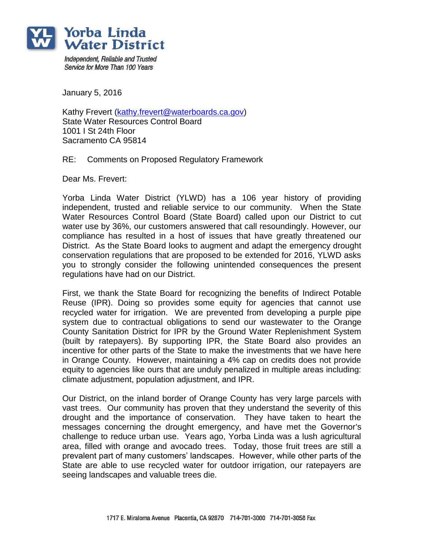

Independent. Reliable and Trusted Service for More Than 100 Years

January 5, 2016

Kathy Frevert [\(kathy.frevert@waterboards.ca.gov\)](mailto:kathy.frevert@waterboards.ca.gov) State Water Resources Control Board 1001 I St 24th Floor Sacramento CA 95814

## RE: Comments on Proposed Regulatory Framework

Dear Ms. Frevert:

Yorba Linda Water District (YLWD) has a 106 year history of providing independent, trusted and reliable service to our community. When the State Water Resources Control Board (State Board) called upon our District to cut water use by 36%, our customers answered that call resoundingly. However, our compliance has resulted in a host of issues that have greatly threatened our District. As the State Board looks to augment and adapt the emergency drought conservation regulations that are proposed to be extended for 2016, YLWD asks you to strongly consider the following unintended consequences the present regulations have had on our District.

First, we thank the State Board for recognizing the benefits of Indirect Potable Reuse (IPR). Doing so provides some equity for agencies that cannot use recycled water for irrigation. We are prevented from developing a purple pipe system due to contractual obligations to send our wastewater to the Orange County Sanitation District for IPR by the Ground Water Replenishment System (built by ratepayers). By supporting IPR, the State Board also provides an incentive for other parts of the State to make the investments that we have here in Orange County. However, maintaining a 4% cap on credits does not provide equity to agencies like ours that are unduly penalized in multiple areas including: climate adjustment, population adjustment, and IPR.

Our District, on the inland border of Orange County has very large parcels with vast trees. Our community has proven that they understand the severity of this drought and the importance of conservation. They have taken to heart the messages concerning the drought emergency, and have met the Governor's challenge to reduce urban use. Years ago, Yorba Linda was a lush agricultural area, filled with orange and avocado trees. Today, those fruit trees are still a prevalent part of many customers' landscapes. However, while other parts of the State are able to use recycled water for outdoor irrigation, our ratepayers are seeing landscapes and valuable trees die.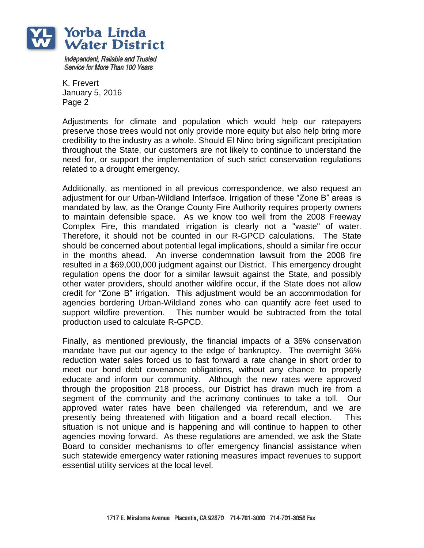

Independent. Reliable and Trusted Service for More Than 100 Years

K. Frevert January 5, 2016 Page 2

Adjustments for climate and population which would help our ratepayers preserve those trees would not only provide more equity but also help bring more credibility to the industry as a whole. Should El Nino bring significant precipitation throughout the State, our customers are not likely to continue to understand the need for, or support the implementation of such strict conservation regulations related to a drought emergency.

Additionally, as mentioned in all previous correspondence, we also request an adjustment for our Urban-Wildland Interface. Irrigation of these "Zone B" areas is mandated by law, as the Orange County Fire Authority requires property owners to maintain defensible space. As we know too well from the 2008 Freeway Complex Fire, this mandated irrigation is clearly not a "waste" of water. Therefore, it should not be counted in our R-GPCD calculations. The State should be concerned about potential legal implications, should a similar fire occur in the months ahead. An inverse condemnation lawsuit from the 2008 fire resulted in a \$69,000,000 judgment against our District. This emergency drought regulation opens the door for a similar lawsuit against the State, and possibly other water providers, should another wildfire occur, if the State does not allow credit for "Zone B" irrigation. This adjustment would be an accommodation for agencies bordering Urban-Wildland zones who can quantify acre feet used to support wildfire prevention. This number would be subtracted from the total production used to calculate R-GPCD.

Finally, as mentioned previously, the financial impacts of a 36% conservation mandate have put our agency to the edge of bankruptcy. The overnight 36% reduction water sales forced us to fast forward a rate change in short order to meet our bond debt covenance obligations, without any chance to properly educate and inform our community. Although the new rates were approved through the proposition 218 process, our District has drawn much ire from a segment of the community and the acrimony continues to take a toll. Our approved water rates have been challenged via referendum, and we are presently being threatened with litigation and a board recall election. This situation is not unique and is happening and will continue to happen to other agencies moving forward. As these regulations are amended, we ask the State Board to consider mechanisms to offer emergency financial assistance when such statewide emergency water rationing measures impact revenues to support essential utility services at the local level.